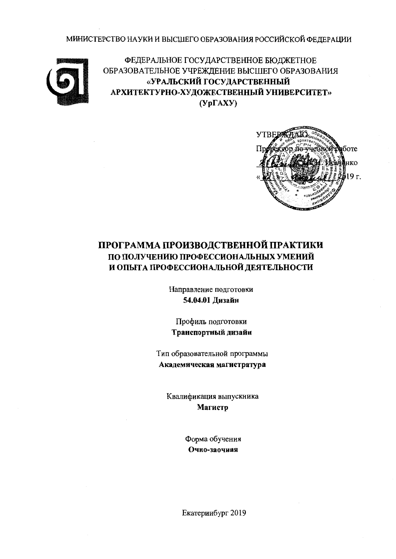МИНИСТЕРСТВО НАУКИ И ВЫСШЕГО ОБРАЗОВАНИЯ РОССИЙСКОЙ ФЕДЕРАЦИИ



ФЕДЕРАЛЬНОЕ ГОСУДАРСТВЕННОЕ БЮДЖЕТНОЕ ОБРАЗОВАТЕЛЬНОЕ УЧРЕЖДЕНИЕ ВЫСШЕГО ОБРАЗОВАНИЯ «УРАЛЬСКИЙ ГОСУДАРСТВЕННЫЙ АРХИТЕКТУРНО-ХУДОЖЕСТВЕННЫЙ УНИВЕРСИТЕТ»  $(Yp\Gamma A XY)$ 



# ПРОГРАММА ПРОИЗВОДСТВЕННОЙ ПРАКТИКИ ПО ПОЛУЧЕНИЮ ПРОФЕССИОНАЛЬНЫХ УМЕНИЙ И ОПЫТА ПРОФЕССИОНАЛЬНОЙ ДЕЯТЕЛЬНОСТИ

Направление подготовки 54.04.01 Дизайн

Профиль подготовки Транспортный дизайн

Тип образовательной программы Академическая магистратура

Квалификация выпускника Магистр

> Форма обучения Очно-заочная

Екатеринбург 2019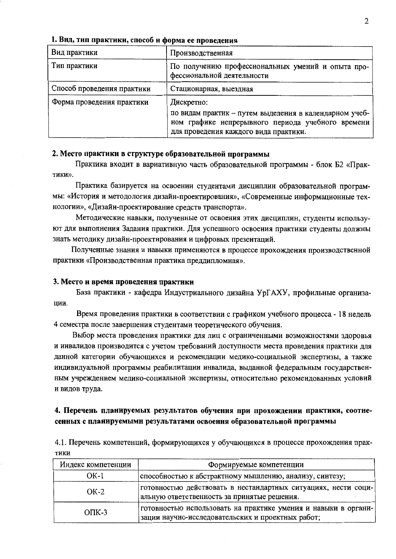| Вид практики               | Производственная                                                                                                                                                   |
|----------------------------|--------------------------------------------------------------------------------------------------------------------------------------------------------------------|
| Тип практики               | По получению профессиональных умений и опыта про-<br>фессиональной деятельности                                                                                    |
| Способ проведения практики | Стационарная, выездная                                                                                                                                             |
| Форма проведения практики  | Дискретно:<br>по видам практик - путем выделения в календарном учеб-<br>ном графике непрерывного периода учебного времени<br>для проведения каждого вида практики. |

#### 1. Вид, тип практики, способ и форма ее проведения

### 2. Место практики в структуре образовательной программы

Практика входит в вариативную часть образовательной программы - блок Б2 «Практики».

Практика базируется на освоении студентами дисциплин образовательной программы: «История и методология дизайн-проектирования», «Современные информационные технологии», «Дизайн-проектирование средств транспорта».

Методические навыки, полученные от освоения этих дисциплин, студенты используют для выполнения Задания практики. Для успешного освоения практики студенты должны знать методику дизайн-проектирования и цифровых презентаций.

Полученные знания и навыки применяются в процессе прохождения производственной практики «Производственная практика преддипломная».

#### 3. Место и время проведения практики

База практики - кафедра Индустриального дизайна УрГАХУ, профильные организации.

Время проведения практики в соответствии с графиком учебного процесса - 18 недель 4 семестра после завершения студентами теоретического обучения.

Выбор места проведения практики для лиц с ограниченными возможностями здоровья и инвалидов производится с учетом требований доступности места проведения практики для данной категории обучающихся и рекомендации медико-социальной экспертизы, а также индивидуальной программы реабилитации инвалида, выданной федеральным государственным учреждением медико-социальной экспертизы, относительно рекомендованных условий и видов труда.

# 4. Перечень планируемых результатов обучения при прохождении практики, соотнесенных с планируемымн результатами освоения образовательной программы

4.1. Перечень компетенций, формирующихся у обучающихся в процессе прохождения прак-ТИКИ

| Индекс компетенции | Формируемые компетенции                                                                                             |
|--------------------|---------------------------------------------------------------------------------------------------------------------|
| $OK-1$             | способностью к абстрактному мышлению, анализу, синтезу;                                                             |
| $OK-2$             | готовностью действовать в нестандартных ситуациях, нести соци-<br>альную ответственность за принятые решения.       |
| $OIIK-3$           | тотовностью использовать на практике умения и навыки в органи-<br>зации научно-исследовательских и проектных работ; |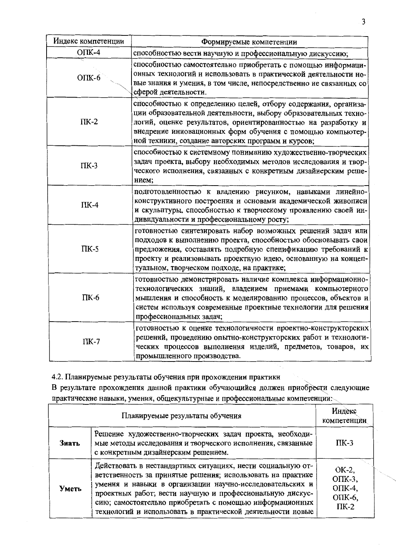| Индекс компетенции | Формируемые компетенции                                                                                                                                                                                                                                                                                                |
|--------------------|------------------------------------------------------------------------------------------------------------------------------------------------------------------------------------------------------------------------------------------------------------------------------------------------------------------------|
| $O\Pi K-4$         | способностью вести научную и профессиональную дискуссию;                                                                                                                                                                                                                                                               |
| $OIIK-6$           | способностью самостоятельно приобретать с помощью информаци-<br>онных технологий и использовать в практической деятельности но-<br>вые знания и умения, в том числе, непосредственно не связанных со<br>сферой деятельности.                                                                                           |
| $\Pi K-2$          | способностью к определению целей, отбору содержания, организа-<br>ции образовательной деятельности, выбору образовательных техно-<br>логий, оценке результатов, ориентированностью на разработку и<br>внедрение инновационных форм обучения с помощью компьютер-<br>ной техники, создание авторских программ и курсов; |
| $\Pi K-3$          | способностью к системному пониманию художественно-творческих<br>задач проекта, выбору необходимых методов исследования и твор-<br>ческого исполнения, связанных с конкретным дизайнерским реше-<br>нием;                                                                                                               |
| $\Pi K-4$          | подготовленностью к владению рисунком, навыками линейно-<br>конструктивного построения и основами академической живописи<br>и скульптуры, способностью к творческому проявлению своей ин-<br>дивидуальности и профессиональному росту;                                                                                 |
| $\Pi K-5$          | готовностью синтезировать набор возможных решений задач или<br>подходов к выполнению проекта, способностью обосновывать свои<br>предложения, составлять подробную спецификацию требований к<br>проекту и реализовывать проектную идею, основанную на концеп-<br>туальном, творческом подходе, на практике;             |
| $\Pi K-6$          | готовностью демонстрировать наличие комплекса информационно-<br>технологических знаний, владением приемами компьютерного<br>мышления и способность к моделированию процессов, объектов и<br>систем используя современные проектные технологии для решения<br>профессиональных задач;                                   |
| $\Pi K-7$          | готовностью к оценке технологичности проектно-конструкторских<br>решений, проведению опытно-конструкторских работ и технологи-<br>ческих процессов выполнения изделий, предметов, товаров, их<br>промышленного производства.                                                                                           |

4.2. Планируемые результаты обучения при прохождении практики

В результате прохождения данной практики обучающийся должен приобрести следующие практические навыки, умения, общекультурные и профессиональные компетенции:

|       | Индекс<br>компетенции                                                                                                                                                                                                                                                                                                                                                          |                                                        |
|-------|--------------------------------------------------------------------------------------------------------------------------------------------------------------------------------------------------------------------------------------------------------------------------------------------------------------------------------------------------------------------------------|--------------------------------------------------------|
| Знать | Решение художественно-творческих задач проекта, необходи-<br>мые методы исследования и творческого исполнения, связанные<br>с конкретным дизайнерским решением.                                                                                                                                                                                                                | $\Pi K-3$                                              |
| Уметь | Действовать в нестандартных ситуациях, нести социальную от-<br>ветственность за принятые решения; использовать на практике<br>умения и навыки в организации научно-исследовательских и<br>проектных работ; вести научную и профессиональную дискус-<br>сию; самостоятельно приобретать с помощью информационных<br>технологий и использовать в практической деятельности новые | OK-2,<br>$O$ $IK-3$ ,<br>ОПК-4,<br>ОПК-6,<br>$\Pi K-2$ |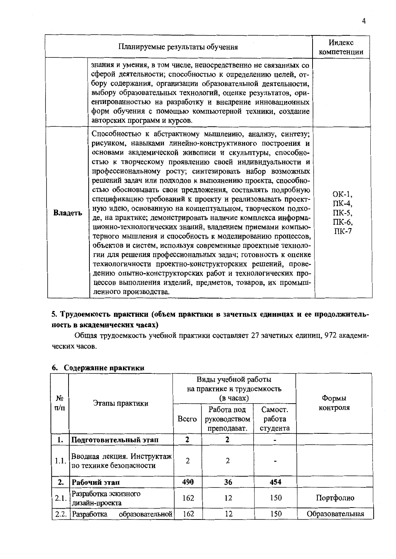|         | Индекс<br>компетенции                                                                                                                                                                                                                                                                                                                                                                                                                                                                                                                                                                                                                                                                                                                                                                                                                                                                                                                                                                                                                                                                       |                                               |
|---------|---------------------------------------------------------------------------------------------------------------------------------------------------------------------------------------------------------------------------------------------------------------------------------------------------------------------------------------------------------------------------------------------------------------------------------------------------------------------------------------------------------------------------------------------------------------------------------------------------------------------------------------------------------------------------------------------------------------------------------------------------------------------------------------------------------------------------------------------------------------------------------------------------------------------------------------------------------------------------------------------------------------------------------------------------------------------------------------------|-----------------------------------------------|
|         | знания и умения, в том числе, непосредственно не связанных со<br>сферой деятельности; способностью к определению целей, от-<br>бору содержания, организации образовательной деятельности,<br>выбору образовательных технологий, оценке результатов, ори-<br>ентированностью на разработку и внедрение инновационных<br>форм обучения с помощью компьютерной техники, создание<br>авторских программ и курсов.                                                                                                                                                                                                                                                                                                                                                                                                                                                                                                                                                                                                                                                                               |                                               |
| Владеть | Способностью к абстрактному мышлению, анализу, синтезу;<br>рисунком, навыками линейно-конструктивного построения и<br>основами академической живописи и скульптуры, способно-<br>стью к творческому проявлению своей индивидуальности и<br>профессиональному росту; синтезировать набор возможных<br>решений задач или подходов к выполнению проекта, способно-<br>стью обосновывать свои предложения, составлять подробную<br>спецификацию требований к проекту и реализовывать проект-<br>ную идею, основанную на концептуальном, творческом подхо-<br>де, на практике; демонстрировать наличие комплекса информа-<br>ционно-технологических знаний, владением приемами компью-<br>терного мышления и способность к моделированию процессов,<br>объектов и систем, используя современные проектные техноло-<br>гии для решения профессиональных задач; готовность к оценке<br>технологичности проектно-конструкторских решений, прове-<br>дению опытно-конструкторских работ и технологических про-<br>цессов выполнения изделий, предметов, товаров, их промыш-<br>ленного производства. | OK-1,<br>ПК-4,<br>ПК-5,<br>ПК-6,<br>$\Pi K-7$ |

# 5. Трудоемкость практики (объем практики в зачетных единнцах и ее продолжительность в академических часах)

Общая трудоемкость учебной практики составляет 27 зачетных единиц, 972 академических часов.

| N₫        |                                                       | Виды учебной работы<br>на практике и трудоемкость<br>(в часах) |                                           |                               | Формы           |
|-----------|-------------------------------------------------------|----------------------------------------------------------------|-------------------------------------------|-------------------------------|-----------------|
| $\pi/\pi$ | Этапы практики                                        | Bcero                                                          | Работа под<br>руководством<br>преподават. | Самост.<br>работа<br>студента | контроля        |
| 1.        | Подготовительный этап                                 | $\mathbf{2}$                                                   |                                           |                               |                 |
| 1.1.      | Вводная лекция. Инструктаж<br>по технике безопасности | 2                                                              | $\overline{2}$                            |                               |                 |
| 2.        | Рабочий этап                                          | 490                                                            | 36                                        | 454                           |                 |
| 2.1.      | Разработка эскизного<br>дизайн-проекта                | 162                                                            | 12                                        | 150                           | Портфолио       |
| 2.2.      | Разработка<br>образовательной                         | 162                                                            | 12                                        | 150                           | Образовательная |

# 6. Содержание практики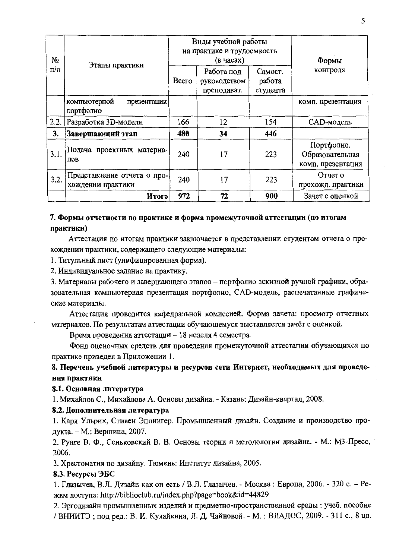| No        |                                                  | Виды учебной работы<br>на практике и трудоемкость<br>(в часах) |                                           |                               | Формы                                              |
|-----------|--------------------------------------------------|----------------------------------------------------------------|-------------------------------------------|-------------------------------|----------------------------------------------------|
| $\pi/\pi$ | Этапы практики                                   | Bcero                                                          | Работа под<br>руководством<br>преподават. | Самост.<br>работа<br>студента | контроля                                           |
|           | компьютерной<br>презентации<br>портфолио         |                                                                |                                           |                               | комп. презентация                                  |
| 2.2.      | Разработка 3D-модели                             | 166                                                            | 12                                        | 154                           | САD-модель                                         |
| 3.        | Завершающий этап                                 | 480                                                            | 34                                        | 446                           |                                                    |
| 3.1.      | Подача проектных материа-<br>лов                 | 240                                                            | 17                                        | 223                           | Портфолио.<br>Образовательная<br>комп. презентация |
| 3.2.      | Представление отчета о про-<br>хождении практики | 240                                                            | 17                                        | 223                           | Отчет о<br>прохожд. практики                       |
|           | Итого                                            | 972                                                            | 72                                        | 900                           | Зачет с оценкой                                    |

# 7. Формы отчетности по практике и форма промежуточной аттестации (по итогам практики)

Аттестация по итогам практики заключается в представлении студентом отчета о прохождении практики, содержащего следующие материалы:

1. Титульный лист (унифицированная форма).

2. Индивидуальное задание на практику.

3. Материалы рабочего и завершающего этапов - портфолио эскизной ручной графики, образовательная компьютерная презентация портфолио, CAD-модель, распечатанные графические материалы.

Аттестация проводится кафедральной комиссией. Форма зачета: просмотр отчетных материалов. По результатам аттестации обучающемуся выставляется зачёт с оценкой.

Время проведения аттестации - 18 неделя 4 семестра.

Фонд оценочных средств для проведения промежуточной аттестации обучающихся по практике приведен в Приложении 1.

8. Перечень учебной литературы и ресурсов сети Интернет, необходимых для проведения практики

# 8.1. Основная литература

1. Михайлов С., Михайлова А. Основы дизайна. - Казань: Дизайн-квартал, 2008.

# 8.2. Дополнительная литература

1. Карл Ульрих, Стивен Эппингер. Промышленный дизайн. Создание и производство продукта. - М.: Вершина, 2007.

2. Рунге В. Ф., Сеньковский В. В. Основы теории и методологии дизайна. - М.: МЗ-Пресс, 2006.

3. Хрестоматия по дизайну. Тюмень: Институт дизайна, 2005.

# 8.3. Ресурсы ЭБС

1. Глазычев, В.Л. Дизайн как он есть / В.Л. Глазычев. - Москва: Европа, 2006. - 320 с. - Режим доступа: http://biblioclub.ru/index.php?page=book&id=44829

2. Эргодизайн промышленных изделий и предметно-пространственной среды : учеб. пособие / ВНИИТЭ; под ред.: В. И. Кулайкина, Л. Д. Чайновой. - М. : ВЛАДОС, 2009. - 311 с., 8 цв.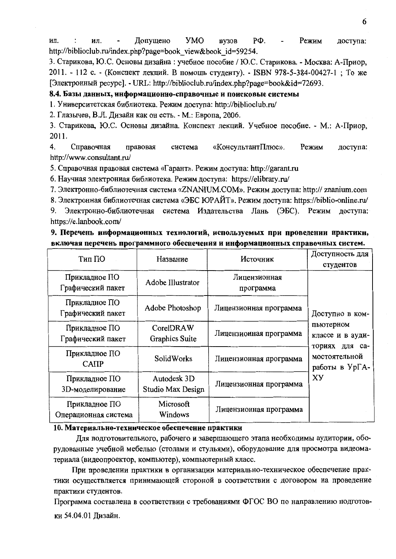ИЛ. Допущено **YMO BV3OB** PФ. Режим доступа: ил. http://biblioclub.ru/index.php?page=book view&book id=59254.

3. Старикова, Ю.С. Основы дизайна : учебное пособие / Ю.С. Старикова. - Москва: А-Приор, 2011. - 112 с. - (Конспект лекций. В помощь студенту). - ISBN 978-5-384-00427-1; То же [Электронный ресурс]. - URL: http://biblioclub.ru/index.php?page=book&id=72693.

### 8.4. Базы данных, информационно-справочные и поисковые системы

1. Университетская библиотека. Режим доступа: http://biblioclub.ru/

2. Глазычев, В.Л. Дизайн как он есть. - М.: Европа, 2006.

3. Старикова, Ю.С. Основы дизайна. Конспект лекций. Учебное пособие. - М.: А-Приор, 2011.

4. Справочная «КонсультантПлюс». Режим доступа: правовая система http://www.consultant.ru/

5. Справочная правовая система «Гарант». Режим доступа: http://garant.ru

6. Научная электронная библиотека. Режим доступа: https://elibrary.ru/

7. Электронно-библиотечная система «ZNANIUM.COM». Режим доступа: http:// znanium.com

8. Электронная библиотечная система «ЭБС ЮРАЙТ». Режим доступа: https://biblio-online.ru/

Электронно-библиотечная система Издательства Лань (ЭБС). Режим доступа: 9. https://e.lanbook.com/

# 9. Перечень информационных технологий, используемых при проведении практикн, включая перечень программного обеспечения и информационных справочных систем.

| Тип ПО                                | Название                                              | Источник                  | Доступность для<br>студентов                    |  |
|---------------------------------------|-------------------------------------------------------|---------------------------|-------------------------------------------------|--|
| Прикладное ПО<br>Графический пакет    | Adobe Illustrator                                     | Лицензионная<br>программа |                                                 |  |
| Прикладное ПО<br>Графический пакет    | Adobe Photoshop                                       | Лицензионная программа    | Доступно в ком-                                 |  |
| Прикладное ПО<br>Графический пакет    | CorelDRAW<br>Лицензионная программа<br>Graphics Suite |                           | пьютерном<br>классе и в ауди-<br>для са-        |  |
| Прикладное ПО<br>CATIP                | <b>SolidWorks</b>                                     | Лицензионная программа    | ториях<br>мостоятельной<br>работы в УрГА-<br>XY |  |
| Прикладное ПО<br>3D-моделирование     | Autodesk 3D<br>Studio Max Design                      | Лицензионная программа    |                                                 |  |
| Прикладное ПО<br>Операционная система | Microsoft<br>Windows                                  | Лицензионная программа    |                                                 |  |

# 10. Материально-техническое обеспечение практики

Для подготовительного, рабочего и завершающего этапа необходимы аудитории, оборудованные учебной мебелью (столами и стульями), оборудование для просмотра видеоматериала (видеопроектор, компьютер), компьютерный класс.

При проведении практики в организации материально-техническое обеспечение практики осуществляется принимающей стороной в соответствии с договором на проведение практики студентов.

Программа составлена в соответствии с требованиями ФГОС ВО по направлению подготовки 54.04.01 Дизайн.